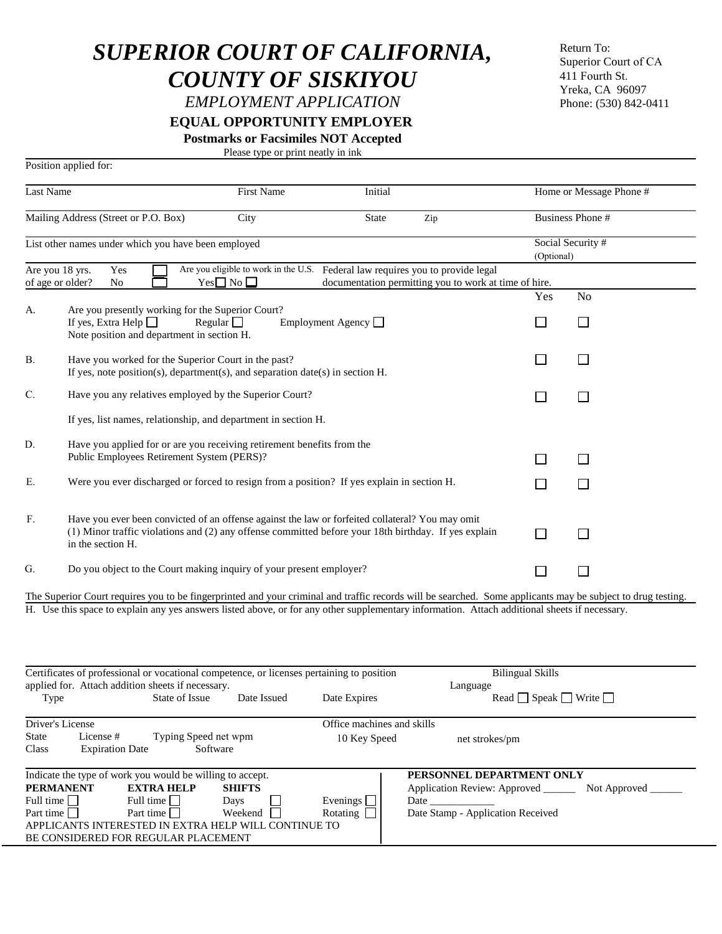## *SUPERIOR COURT OF CALIFORNIA, COUNTY OF SISKIYOU*

*EMPLOYMENT APPLICATION*

 **EQUAL OPPORTUNITY EMPLOYER**

**Postmarks or Facsimiles NOT Accepted** 

Please type or print neatly in ink

|                                                     | Position applied for:                                                                                                                                                                                                         |                                                                                                      |                                            |                                                                                                       |                                       |                        |
|-----------------------------------------------------|-------------------------------------------------------------------------------------------------------------------------------------------------------------------------------------------------------------------------------|------------------------------------------------------------------------------------------------------|--------------------------------------------|-------------------------------------------------------------------------------------------------------|---------------------------------------|------------------------|
| <b>Last Name</b>                                    |                                                                                                                                                                                                                               | First Name                                                                                           | Initial                                    |                                                                                                       | Home or Message Phone #               |                        |
| Mailing Address (Street or P.O. Box)                |                                                                                                                                                                                                                               | City                                                                                                 | <b>State</b>                               | Zip                                                                                                   |                                       | <b>Business Phone#</b> |
| List other names under which you have been employed |                                                                                                                                                                                                                               |                                                                                                      |                                            |                                                                                                       | Social Security #<br>(Optional)       |                        |
| Are you 18 yrs.<br>of age or older?                 | Yes<br>No                                                                                                                                                                                                                     | Are you eligible to work in the U.S. Federal law requires you to provide legal<br>$Yes \Box No \Box$ |                                            | documentation permitting you to work at time of hire.                                                 |                                       |                        |
| А.                                                  | Are you presently working for the Superior Court?                                                                                                                                                                             |                                                                                                      |                                            |                                                                                                       | Yes                                   | No                     |
|                                                     | If yes, Extra Help $\Box$<br>Note position and department in section H.                                                                                                                                                       | Regular $\Box$                                                                                       | Employment Agency $\Box$                   |                                                                                                       | $\Box$                                | ΙI                     |
| В.                                                  | Have you worked for the Superior Court in the past?<br>If yes, note position(s), department(s), and separation date(s) in section $H$ .                                                                                       |                                                                                                      |                                            |                                                                                                       | $\Box$                                | $\Box$                 |
| C.                                                  | Have you any relatives employed by the Superior Court?                                                                                                                                                                        |                                                                                                      |                                            |                                                                                                       | $\Box$                                | $\Box$                 |
|                                                     | If yes, list names, relationship, and department in section H.                                                                                                                                                                |                                                                                                      |                                            |                                                                                                       |                                       |                        |
| D.                                                  | Have you applied for or are you receiving retirement benefits from the<br>Public Employees Retirement System (PERS)?                                                                                                          |                                                                                                      |                                            |                                                                                                       | $\Box$                                | $\mathsf{L}$           |
| Ε.                                                  | Were you ever discharged or forced to resign from a position? If yes explain in section H.                                                                                                                                    |                                                                                                      |                                            |                                                                                                       | $\mathcal{L}_{\mathcal{A}}$           |                        |
| ${\bf F}.$                                          | Have you ever been convicted of an offense against the law or forfeited collateral? You may omit<br>(1) Minor traffic violations and (2) any offense committed before your 18th birthday. If yes explain<br>in the section H. |                                                                                                      |                                            |                                                                                                       | П                                     |                        |
| G.                                                  | Do you object to the Court making inquiry of your present employer?                                                                                                                                                           |                                                                                                      |                                            |                                                                                                       | $\Box$                                |                        |
|                                                     | The Superior Court requires you to be fingerprinted and your criminal and traffic records will be searched. Some applicants may be subject to drug testing.                                                                   |                                                                                                      |                                            |                                                                                                       |                                       |                        |
|                                                     | H. Use this space to explain any yes answers listed above, or for any other supplementary information. Attach additional sheets if necessary.                                                                                 |                                                                                                      |                                            |                                                                                                       |                                       |                        |
|                                                     | Certificates of professional or vocational competence, or licenses pertaining to position                                                                                                                                     |                                                                                                      |                                            |                                                                                                       | <b>Bilingual Skills</b>               |                        |
| Type                                                | applied for. Attach addition sheets if necessary.<br>State of Issue                                                                                                                                                           | Date Issued                                                                                          | Date Expires                               | Language                                                                                              | Read $\Box$ Speak $\Box$ Write $\Box$ |                        |
| Driver's License<br><b>State</b><br>Class           | License#<br><b>Expiration Date</b>                                                                                                                                                                                            | Typing Speed net wpm<br>Software                                                                     | Office machines and skills<br>10 Key Speed | net strokes/pm                                                                                        |                                       |                        |
| <b>PERMANENT</b><br>Full time<br>Part time          | Indicate the type of work you would be willing to accept.<br><b>EXTRA HELP</b><br>Full time $\Box$<br>Part time    <br>APPLICANTS INTERESTED IN EXTRA HELP WILL CONTINUE TO<br>BE CONSIDERED FOR REGULAR PLACEMENT            | <b>SHIFTS</b><br>Days<br>Weekend                                                                     | Evenings $\Box$<br>Rotating $\Box$         | PERSONNEL DEPARTMENT ONLY<br>Application Review: Approved ______<br>Date Stamp - Application Received |                                       | Not Approved _______   |

 Superior Court of CAReturn To: 411 Fourth St. Yreka, CA 96097 Phone: (530) 842-0411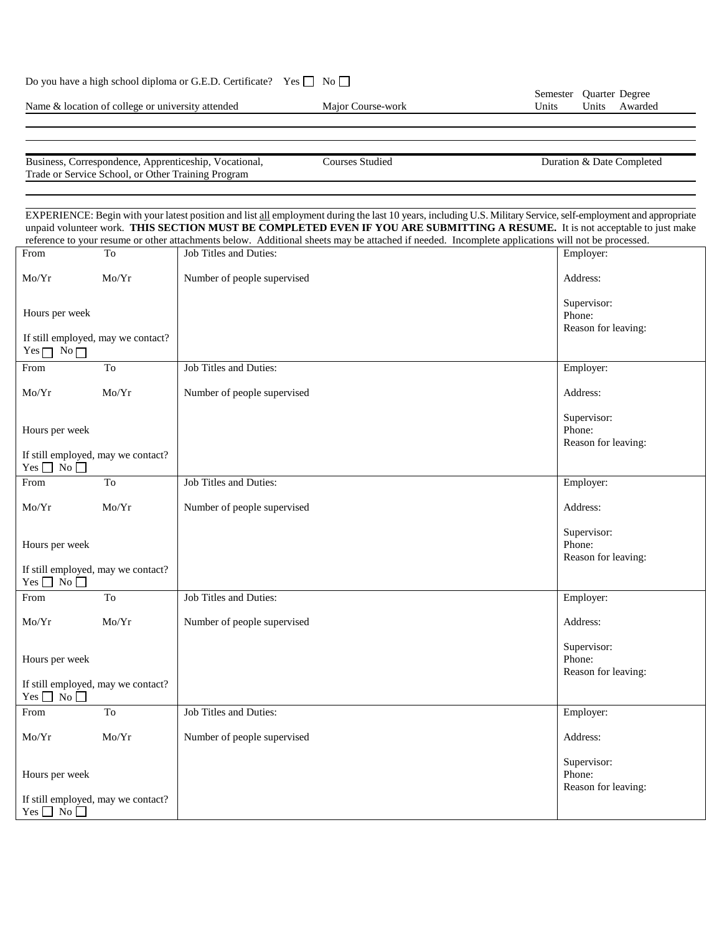|  |  |  |  |  | Do you have a high school diploma or G.E.D. Certificate? Yes □ No □ |  |  |  |
|--|--|--|--|--|---------------------------------------------------------------------|--|--|--|
|--|--|--|--|--|---------------------------------------------------------------------|--|--|--|

Name & location of college or university attended Major Course-work

Business, Correspondence, Apprenticeship, Vocational, Courses Studied Duration & Date Completed Duration & Date Completed Trade or Service School, or Other Training Program

EXPERIENCE: Begin with your latest position and list all employment during the last 10 years, including U.S. Military Service, self-employment and appropriate unpaid volunteer work. **THIS SECTION MUST BE COMPLETED EVEN IF YOU ARE SUBMITTING A RESUME.** It is not acceptable to just make reference to your resume or other attachments below. Additional sheets may be attached if needed. Incomplete applications will not be processed. From To Mo/Yr Mo/Yr Hours per week If still employed, may we contact? Yes  $\Box$  No  $\Box$ Job Titles and Duties: Number of people supervised Employer: Address: Supervisor: Phone: Reason for leaving: From To Mo/Yr Mo/Yr Hours per week If still employed, may we contact?  $Yes \Box No \Box$ Job Titles and Duties: Number of people supervised Employer: Address: Supervisor: Phone: Reason for leaving: From To Mo/Yr Mo/Yr Hours per week If still employed, may we contact?  $Yes \Box No \Box$ Job Titles and Duties: Number of people supervised Employer: Address: Supervisor: Phone: Reason for leaving: From To Mo/Yr Mo/Yr Hours per week If still employed, may we contact?  $Yes \Box No \Box$ Job Titles and Duties: Number of people supervised Employer: Address: Supervisor: Phone: Reason for leaving: From To Mo/Yr Mo/Yr Hours per week If still employed, may we contact?  $Yes \Box No \Box$ Job Titles and Duties: Number of people supervised Employer: Address: Supervisor: Phone: Reason for leaving: